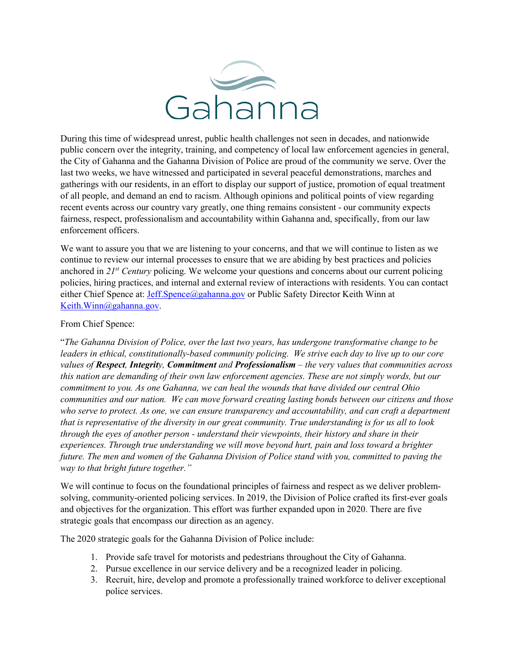

During this time of widespread unrest, public health challenges not seen in decades, and nationwide public concern over the integrity, training, and competency of local law enforcement agencies in general, the City of Gahanna and the Gahanna Division of Police are proud of the community we serve. Over the last two weeks, we have witnessed and participated in several peaceful demonstrations, marches and gatherings with our residents, in an effort to display our support of justice, promotion of equal treatment of all people, and demand an end to racism. Although opinions and political points of view regarding recent events across our country vary greatly, one thing remains consistent - our community expects fairness, respect, professionalism and accountability within Gahanna and, specifically, from our law enforcement officers.

We want to assure you that we are listening to your concerns, and that we will continue to listen as we continue to review our internal processes to ensure that we are abiding by best practices and policies anchored in *21st Century* policing. We welcome your questions and concerns about our current policing policies, hiring practices, and internal and external review of interactions with residents. You can contact either Chief Spence at: *Jeff.Spence@gahanna.gov* or Public Safety Director Keith Winn at [Keith.Winn@gahanna.gov.](mailto:Keith.Winn@gahanna.gov)

## From Chief Spence:

"*The Gahanna Division of Police, over the last two years, has undergone transformative change to be leaders in ethical, constitutionally-based community policing. We strive each day to live up to our core values of Respect, Integrity, Commitment and Professionalism – the very values that communities across this nation are demanding of their own law enforcement agencies. These are not simply words, but our commitment to you. As one Gahanna, we can heal the wounds that have divided our central Ohio communities and our nation. We can move forward creating lasting bonds between our citizens and those who serve to protect. As one, we can ensure transparency and accountability, and can craft a department that is representative of the diversity in our great community. True understanding is for us all to look through the eyes of another person - understand their viewpoints, their history and share in their experiences. Through true understanding we will move beyond hurt, pain and loss toward a brighter future. The men and women of the Gahanna Division of Police stand with you, committed to paving the way to that bright future together."*

We will continue to focus on the foundational principles of fairness and respect as we deliver problemsolving, community-oriented policing services. In 2019, the Division of Police crafted its first-ever goals and objectives for the organization. This effort was further expanded upon in 2020. There are five strategic goals that encompass our direction as an agency.

The 2020 strategic goals for the Gahanna Division of Police include:

- 1. Provide safe travel for motorists and pedestrians throughout the City of Gahanna.
- 2. Pursue excellence in our service delivery and be a recognized leader in policing.
- 3. Recruit, hire, develop and promote a professionally trained workforce to deliver exceptional police services.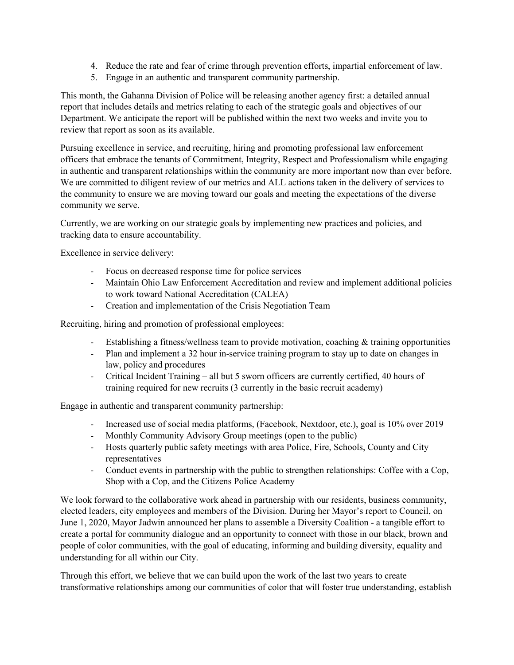- 4. Reduce the rate and fear of crime through prevention efforts, impartial enforcement of law.
- 5. Engage in an authentic and transparent community partnership.

This month, the Gahanna Division of Police will be releasing another agency first: a detailed annual report that includes details and metrics relating to each of the strategic goals and objectives of our Department. We anticipate the report will be published within the next two weeks and invite you to review that report as soon as its available.

Pursuing excellence in service, and recruiting, hiring and promoting professional law enforcement officers that embrace the tenants of Commitment, Integrity, Respect and Professionalism while engaging in authentic and transparent relationships within the community are more important now than ever before. We are committed to diligent review of our metrics and ALL actions taken in the delivery of services to the community to ensure we are moving toward our goals and meeting the expectations of the diverse community we serve.

Currently, we are working on our strategic goals by implementing new practices and policies, and tracking data to ensure accountability.

Excellence in service delivery:

- Focus on decreased response time for police services
- Maintain Ohio Law Enforcement Accreditation and review and implement additional policies to work toward National Accreditation (CALEA)
- Creation and implementation of the Crisis Negotiation Team

Recruiting, hiring and promotion of professional employees:

- Establishing a fitness/wellness team to provide motivation, coaching & training opportunities
- Plan and implement a 32 hour in-service training program to stay up to date on changes in law, policy and procedures
- Critical Incident Training all but 5 sworn officers are currently certified, 40 hours of training required for new recruits (3 currently in the basic recruit academy)

Engage in authentic and transparent community partnership:

- Increased use of social media platforms, (Facebook, Nextdoor, etc.), goal is 10% over 2019
- Monthly Community Advisory Group meetings (open to the public)
- Hosts quarterly public safety meetings with area Police, Fire, Schools, County and City representatives
- Conduct events in partnership with the public to strengthen relationships: Coffee with a Cop, Shop with a Cop, and the Citizens Police Academy

We look forward to the collaborative work ahead in partnership with our residents, business community, elected leaders, city employees and members of the Division. During her Mayor's report to Council, on June 1, 2020, Mayor Jadwin announced her plans to assemble a Diversity Coalition - a tangible effort to create a portal for community dialogue and an opportunity to connect with those in our black, brown and people of color communities, with the goal of educating, informing and building diversity, equality and understanding for all within our City.

Through this effort, we believe that we can build upon the work of the last two years to create transformative relationships among our communities of color that will foster true understanding, establish